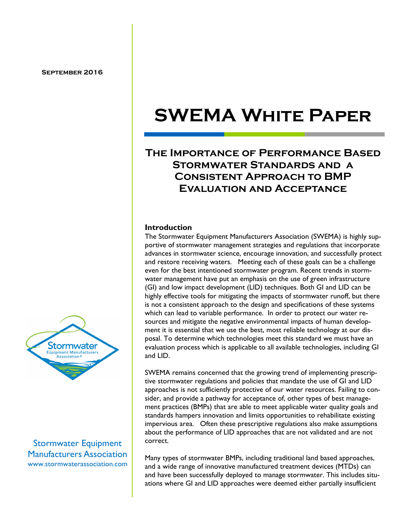### **The Importance of Performance Based Stormwater Standards and a Consistent Approach to BMP Evaluation and Acceptance**

#### **Introduction**

The Stormwater Equipment Manufacturers Association (SWEMA) is highly supportive of stormwater management strategies and regulations that incorporate advances in stormwater science, encourage innovation, and successfully protect and restore receiving waters. Meeting each of these goals can be a challenge even for the best intentioned stormwater program. Recent trends in stormwater management have put an emphasis on the use of green infrastructure (GI) and low impact development (LID) techniques. Both GI and LID can be highly effective tools for mitigating the impacts of stormwater runoff, but there is not a consistent approach to the design and specifications of these systems which can lead to variable performance. In order to protect our water resources and mitigate the negative environmental impacts of human development it is essential that we use the best, most reliable technology at our disposal. To determine which technologies meet this standard we must have an evaluation process which is applicable to all available technologies, including GI and LID.

SWEMA remains concerned that the growing trend of implementing prescriptive stormwater regulations and policies that mandate the use of GI and LID approaches is not sufficiently protective of our water resources. Failing to consider, and provide a pathway for acceptance of, other types of best management practices (BMPs) that are able to meet applicable water quality goals and standards hampers innovation and limits opportunities to rehabilitate existing impervious area. Often these prescriptive regulations also make assumptions about the performance of LID approaches that are not validated and are not correct.

Many types of stormwater BMPs, including traditional land based approaches, and a wide range of innovative manufactured treatment devices (MTDs) can and have been successfully deployed to manage stormwater. This includes situations where GI and LID approaches were deemed either partially insufficient



Stormwater Equipment Manufacturers Association www.stormwaterassociation.com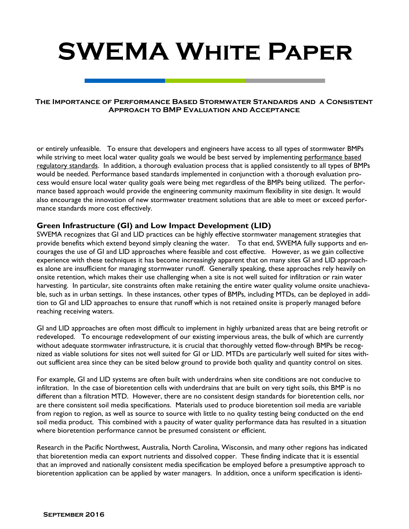#### **The Importance of Performance Based Stormwater Standards and a Consistent Approach to BMP Evaluation and Acceptance**

or entirely unfeasible. To ensure that developers and engineers have access to all types of stormwater BMPs while striving to meet local water quality goals we would be best served by implementing performance based regulatory standards. In addition, a thorough evaluation process that is applied consistently to all types of BMPs would be needed. Performance based standards implemented in conjunction with a thorough evaluation process would ensure local water quality goals were being met regardless of the BMPs being utilized. The performance based approach would provide the engineering community maximum flexibility in site design. It would also encourage the innovation of new stormwater treatment solutions that are able to meet or exceed performance standards more cost effectively.

#### **Green Infrastructure (GI) and Low Impact Development (LID)**

SWEMA recognizes that GI and LID practices can be highly effective stormwater management strategies that provide benefits which extend beyond simply cleaning the water. To that end, SWEMA fully supports and encourages the use of GI and LID approaches where feasible and cost effective. However, as we gain collective experience with these techniques it has become increasingly apparent that on many sites GI and LID approaches alone are insufficient for managing stormwater runoff. Generally speaking, these approaches rely heavily on onsite retention, which makes their use challenging when a site is not well suited for infiltration or rain water harvesting. In particular, site constraints often make retaining the entire water quality volume onsite unachievable, such as in urban settings. In these instances, other types of BMPs, including MTDs, can be deployed in addition to GI and LID approaches to ensure that runoff which is not retained onsite is properly managed before reaching receiving waters.

GI and LID approaches are often most difficult to implement in highly urbanized areas that are being retrofit or redeveloped. To encourage redevelopment of our existing impervious areas, the bulk of which are currently without adequate stormwater infrastructure, it is crucial that thoroughly vetted flow-through BMPs be recognized as viable solutions for sites not well suited for GI or LID. MTDs are particularly well suited for sites without sufficient area since they can be sited below ground to provide both quality and quantity control on sites.

For example, GI and LID systems are often built with underdrains when site conditions are not conducive to infiltration. In the case of bioretention cells with underdrains that are built on very tight soils, this BMP is no different than a filtration MTD. However, there are no consistent design standards for bioretention cells, nor are there consistent soil media specifications. Materials used to produce bioretention soil media are variable from region to region, as well as source to source with little to no quality testing being conducted on the end soil media product. This combined with a paucity of water quality performance data has resulted in a situation where bioretention performance cannot be presumed consistent or efficient.

Research in the Pacific Northwest, Australia, North Carolina, Wisconsin, and many other regions has indicated that bioretention media can export nutrients and dissolved copper. These finding indicate that it is essential that an improved and nationally consistent media specification be employed before a presumptive approach to bioretention application can be applied by water managers. In addition, once a uniform specification is identi-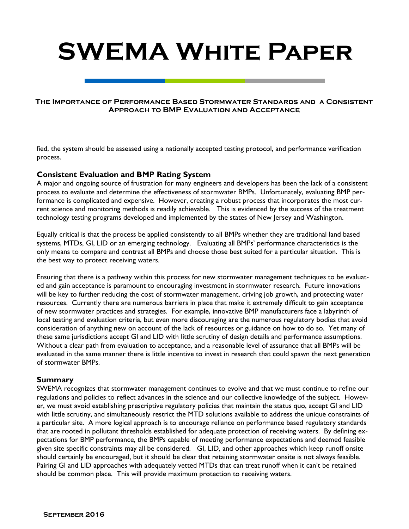#### **The Importance of Performance Based Stormwater Standards and a Consistent Approach to BMP Evaluation and Acceptance**

fied, the system should be assessed using a nationally accepted testing protocol, and performance verification process.

#### **Consistent Evaluation and BMP Rating System**

A major and ongoing source of frustration for many engineers and developers has been the lack of a consistent process to evaluate and determine the effectiveness of stormwater BMPs. Unfortunately, evaluating BMP performance is complicated and expensive. However, creating a robust process that incorporates the most current science and monitoring methods is readily achievable. This is evidenced by the success of the treatment technology testing programs developed and implemented by the states of New Jersey and Washington.

Equally critical is that the process be applied consistently to all BMPs whether they are traditional land based systems, MTDs, GI, LID or an emerging technology. Evaluating all BMPs' performance characteristics is the only means to compare and contrast all BMPs and choose those best suited for a particular situation. This is the best way to protect receiving waters.

Ensuring that there is a pathway within this process for new stormwater management techniques to be evaluated and gain acceptance is paramount to encouraging investment in stormwater research. Future innovations will be key to further reducing the cost of stormwater management, driving job growth, and protecting water resources. Currently there are numerous barriers in place that make it extremely difficult to gain acceptance of new stormwater practices and strategies. For example, innovative BMP manufacturers face a labyrinth of local testing and evaluation criteria, but even more discouraging are the numerous regulatory bodies that avoid consideration of anything new on account of the lack of resources or guidance on how to do so. Yet many of these same jurisdictions accept GI and LID with little scrutiny of design details and performance assumptions. Without a clear path from evaluation to acceptance, and a reasonable level of assurance that all BMPs will be evaluated in the same manner there is little incentive to invest in research that could spawn the next generation of stormwater BMPs.

#### **Summary**

SWEMA recognizes that stormwater management continues to evolve and that we must continue to refine our regulations and policies to reflect advances in the science and our collective knowledge of the subject. However, we must avoid establishing prescriptive regulatory policies that maintain the status quo, accept GI and LID with little scrutiny, and simultaneously restrict the MTD solutions available to address the unique constraints of a particular site. A more logical approach is to encourage reliance on performance based regulatory standards that are rooted in pollutant thresholds established for adequate protection of receiving waters. By defining expectations for BMP performance, the BMPs capable of meeting performance expectations and deemed feasible given site specific constraints may all be considered. GI, LID, and other approaches which keep runoff onsite should certainly be encouraged, but it should be clear that retaining stormwater onsite is not always feasible. Pairing GI and LID approaches with adequately vetted MTDs that can treat runoff when it can't be retained should be common place. This will provide maximum protection to receiving waters.